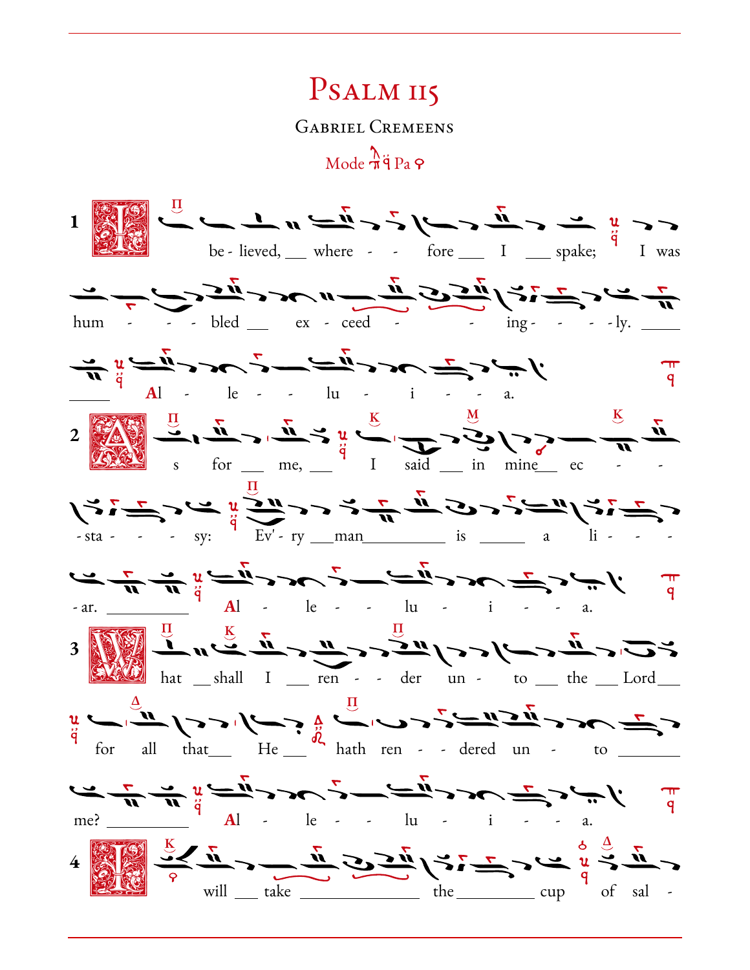## PSALM II5

**GABRIEL CREMEENS** 

 $Mode \frac{\lambda}{\eta}$ g Pa  $\varphi$ 

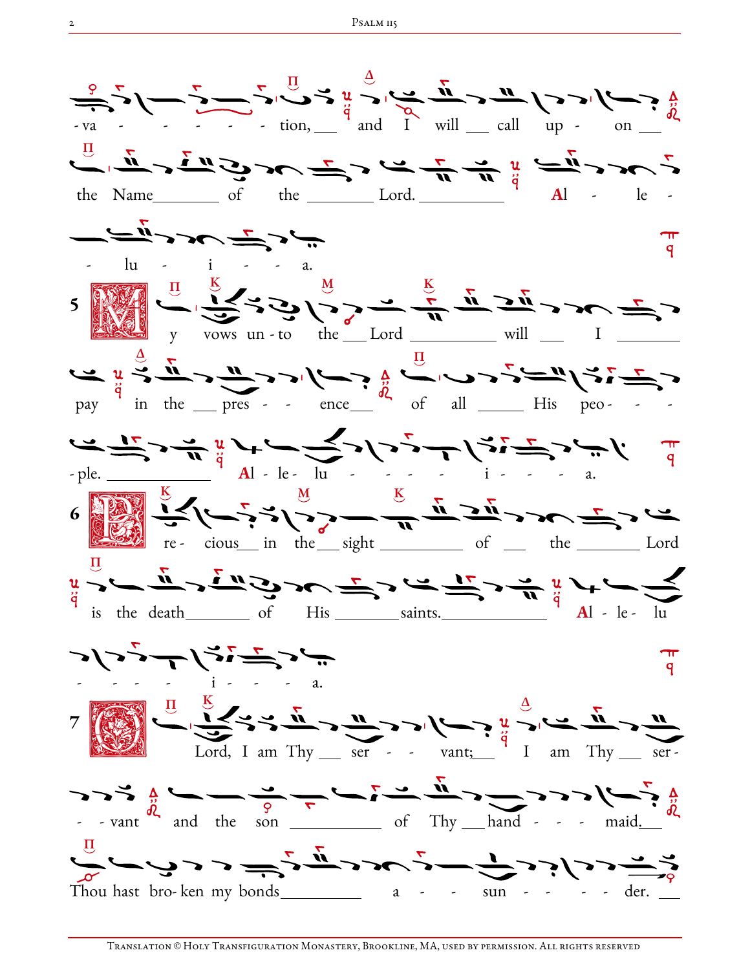